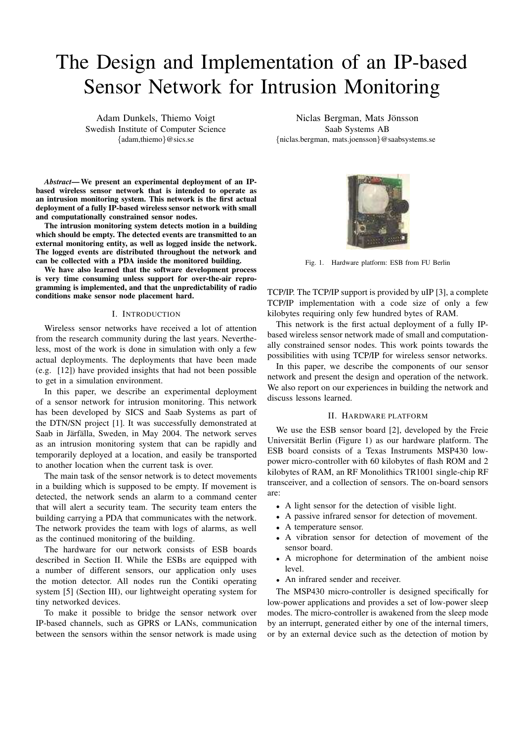# The Design and Implementation of an IP-based Sensor Network for Intrusion Monitoring

Adam Dunkels, Thiemo Voigt Swedish Institute of Computer Science {adam,thiemo}@sics.se

*Abstract***— We present an experimental deployment of an IPbased wireless sensor network that is intended to operate as an intrusion monitoring system. This network is the first actual deployment of a fully IP-based wireless sensor network with small and computationally constrained sensor nodes.**

**The intrusion monitoring system detects motion in a building which should be empty. The detected events are transmitted to an external monitoring entity, as well as logged inside the network. The logged events are distributed throughout the network and can be collected with a PDA inside the monitored building.**

**We have also learned that the software development process is very time consuming unless support for over-the-air reprogramming is implemented, and that the unpredictability of radio conditions make sensor node placement hard.**

## I. INTRODUCTION

Wireless sensor networks have received a lot of attention from the research community during the last years. Nevertheless, most of the work is done in simulation with only a few actual deployments. The deployments that have been made (e.g. [12]) have provided insights that had not been possible to get in a simulation environment.

In this paper, we describe an experimental deployment of a sensor network for intrusion monitoring. This network has been developed by SICS and Saab Systems as part of the DTN/SN project [1]. It was successfully demonstrated at Saab in Järfälla, Sweden, in May 2004. The network serves as an intrusion monitoring system that can be rapidly and temporarily deployed at a location, and easily be transported to another location when the current task is over.

The main task of the sensor network is to detect movements in a building which is supposed to be empty. If movement is detected, the network sends an alarm to a command center that will alert a security team. The security team enters the building carrying a PDA that communicates with the network. The network provides the team with logs of alarms, as well as the continued monitoring of the building.

The hardware for our network consists of ESB boards described in Section II. While the ESBs are equipped with a number of different sensors, our application only uses the motion detector. All nodes run the Contiki operating system [5] (Section III), our lightweight operating system for tiny networked devices.

To make it possible to bridge the sensor network over IP-based channels, such as GPRS or LANs, communication between the sensors within the sensor network is made using

Niclas Bergman, Mats Jonsson ¨ Saab Systems AB {niclas.bergman, mats.joensson}@saabsystems.se



Fig. 1. Hardware platform: ESB from FU Berlin

TCP/IP. The TCP/IP support is provided by uIP [3], a complete TCP/IP implementation with a code size of only a few kilobytes requiring only few hundred bytes of RAM.

This network is the first actual deployment of a fully IPbased wireless sensor network made of small and computationally constrained sensor nodes. This work points towards the possibilities with using TCP/IP for wireless sensor networks.

In this paper, we describe the components of our sensor network and present the design and operation of the network. We also report on our experiences in building the network and discuss lessons learned.

## II. HARDWARE PLATFORM

We use the ESB sensor board [2], developed by the Freie Universität Berlin (Figure 1) as our hardware platform. The ESB board consists of a Texas Instruments MSP430 lowpower micro-controller with 60 kilobytes of flash ROM and 2 kilobytes of RAM, an RF Monolithics TR1001 single-chip RF transceiver, and a collection of sensors. The on-board sensors are:

- A light sensor for the detection of visible light.
- A passive infrared sensor for detection of movement.
- A temperature sensor.
- A vibration sensor for detection of movement of the sensor board.
- A microphone for determination of the ambient noise level.
- An infrared sender and receiver.

The MSP430 micro-controller is designed specifically for low-power applications and provides a set of low-power sleep modes. The micro-controller is awakened from the sleep mode by an interrupt, generated either by one of the internal timers, or by an external device such as the detection of motion by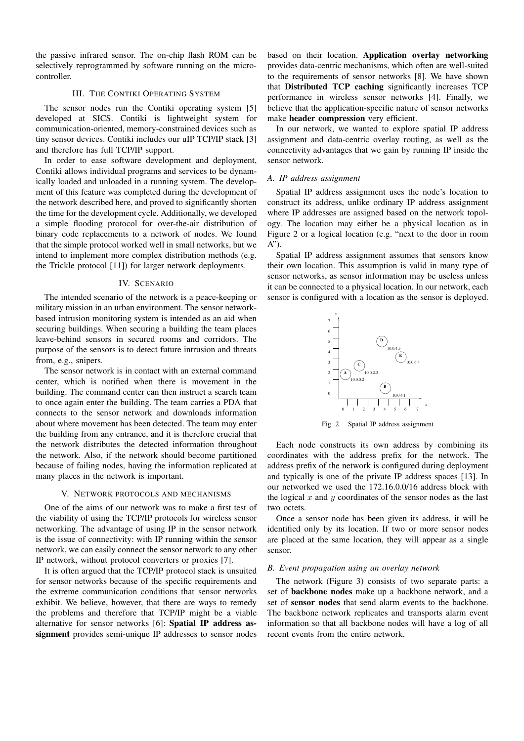the passive infrared sensor. The on-chip flash ROM can be selectively reprogrammed by software running on the microcontroller.

## III. THE CONTIKI OPERATING SYSTEM

The sensor nodes run the Contiki operating system [5] developed at SICS. Contiki is lightweight system for communication-oriented, memory-constrained devices such as tiny sensor devices. Contiki includes our uIP TCP/IP stack [3] and therefore has full TCP/IP support.

In order to ease software development and deployment, Contiki allows individual programs and services to be dynamically loaded and unloaded in a running system. The development of this feature was completed during the development of the network described here, and proved to significantly shorten the time for the development cycle. Additionally, we developed a simple flooding protocol for over-the-air distribution of binary code replacements to a network of nodes. We found that the simple protocol worked well in small networks, but we intend to implement more complex distribution methods (e.g. the Trickle protocol [11]) for larger network deployments.

## IV. SCENARIO

The intended scenario of the network is a peace-keeping or military mission in an urban environment. The sensor networkbased intrusion monitoring system is intended as an aid when securing buildings. When securing a building the team places leave-behind sensors in secured rooms and corridors. The purpose of the sensors is to detect future intrusion and threats from, e.g., snipers.

The sensor network is in contact with an external command center, which is notified when there is movement in the building. The command center can then instruct a search team to once again enter the building. The team carries a PDA that connects to the sensor network and downloads information about where movement has been detected. The team may enter the building from any entrance, and it is therefore crucial that the network distributes the detected information throughout the network. Also, if the network should become partitioned because of failing nodes, having the information replicated at many places in the network is important.

## V. NETWORK PROTOCOLS AND MECHANISMS

One of the aims of our network was to make a first test of the viability of using the TCP/IP protocols for wireless sensor networking. The advantage of using IP in the sensor network is the issue of connectivity: with IP running within the sensor network, we can easily connect the sensor network to any other IP network, without protocol converters or proxies [7].

It is often argued that the TCP/IP protocol stack is unsuited for sensor networks because of the specific requirements and the extreme communication conditions that sensor networks exhibit. We believe, however, that there are ways to remedy the problems and therefore that TCP/IP might be a viable alternative for sensor networks [6]: **Spatial IP address assignment** provides semi-unique IP addresses to sensor nodes

based on their location. **Application overlay networking** provides data-centric mechanisms, which often are well-suited to the requirements of sensor networks [8]. We have shown that **Distributed TCP caching** significantly increases TCP performance in wireless sensor networks [4]. Finally, we believe that the application-specific nature of sensor networks make **header compression** very efficient.

In our network, we wanted to explore spatial IP address assignment and data-centric overlay routing, as well as the connectivity advantages that we gain by running IP inside the sensor network.

## *A. IP address assignment*

Spatial IP address assignment uses the node's location to construct its address, unlike ordinary IP address assignment where IP addresses are assigned based on the network topology. The location may either be a physical location as in Figure 2 or a logical location (e.g. "next to the door in room A").

Spatial IP address assignment assumes that sensors know their own location. This assumption is valid in many type of sensor networks, as sensor information may be useless unless it can be connected to a physical location. In our network, each sensor is configured with a location as the sensor is deployed.



Fig. 2. Spatial IP address assignment

Each node constructs its own address by combining its coordinates with the address prefix for the network. The address prefix of the network is configured during deployment and typically is one of the private IP address spaces [13]. In our networked we used the 172.16.0.0/16 address block with the logical  $x$  and  $y$  coordinates of the sensor nodes as the last two octets.

Once a sensor node has been given its address, it will be identified only by its location. If two or more sensor nodes are placed at the same location, they will appear as a single sensor.

## *B. Event propagation using an overlay network*

The network (Figure 3) consists of two separate parts: a set of **backbone nodes** make up a backbone network, and a set of **sensor nodes** that send alarm events to the backbone. The backbone network replicates and transports alarm event information so that all backbone nodes will have a log of all recent events from the entire network.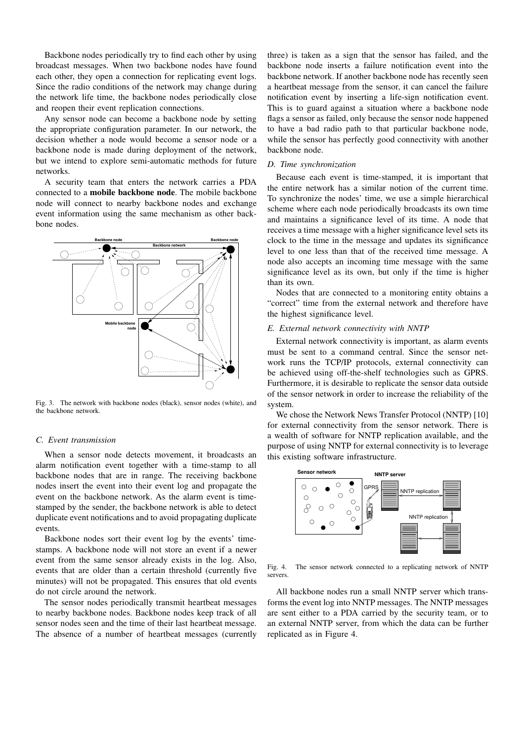Backbone nodes periodically try to find each other by using broadcast messages. When two backbone nodes have found each other, they open a connection for replicating event logs. Since the radio conditions of the network may change during the network life time, the backbone nodes periodically close and reopen their event replication connections.

Any sensor node can become a backbone node by setting the appropriate configuration parameter. In our network, the decision whether a node would become a sensor node or a backbone node is made during deployment of the network, but we intend to explore semi-automatic methods for future networks.

A security team that enters the network carries a PDA connected to a **mobile backbone node**. The mobile backbone node will connect to nearby backbone nodes and exchange event information using the same mechanism as other backbone nodes.



Fig. 3. The network with backbone nodes (black), sensor nodes (white), and the backbone network.

## *C. Event transmission*

When a sensor node detects movement, it broadcasts an alarm notification event together with a time-stamp to all backbone nodes that are in range. The receiving backbone nodes insert the event into their event log and propagate the event on the backbone network. As the alarm event is timestamped by the sender, the backbone network is able to detect duplicate event notifications and to avoid propagating duplicate events.

Backbone nodes sort their event log by the events' timestamps. A backbone node will not store an event if a newer event from the same sensor already exists in the log. Also, events that are older than a certain threshold (currently five minutes) will not be propagated. This ensures that old events do not circle around the network.

The sensor nodes periodically transmit heartbeat messages to nearby backbone nodes. Backbone nodes keep track of all sensor nodes seen and the time of their last heartbeat message. The absence of a number of heartbeat messages (currently

three) is taken as a sign that the sensor has failed, and the backbone node inserts a failure notification event into the backbone network. If another backbone node has recently seen a heartbeat message from the sensor, it can cancel the failure notification event by inserting a life-sign notification event. This is to guard against a situation where a backbone node flags a sensor as failed, only because the sensor node happened to have a bad radio path to that particular backbone node, while the sensor has perfectly good connectivity with another backbone node.

#### *D. Time synchronization*

Because each event is time-stamped, it is important that the entire network has a similar notion of the current time. To synchronize the nodes' time, we use a simple hierarchical scheme where each node periodically broadcasts its own time and maintains a significance level of its time. A node that receives a time message with a higher significance level sets its clock to the time in the message and updates its significance level to one less than that of the received time message. A node also accepts an incoming time message with the same significance level as its own, but only if the time is higher than its own.

Nodes that are connected to a monitoring entity obtains a "correct" time from the external network and therefore have the highest significance level.

## *E. External network connectivity with NNTP*

External network connectivity is important, as alarm events must be sent to a command central. Since the sensor network runs the TCP/IP protocols, external connectivity can be achieved using off-the-shelf technologies such as GPRS. Furthermore, it is desirable to replicate the sensor data outside of the sensor network in order to increase the reliability of the system.

We chose the Network News Transfer Protocol (NNTP) [10] for external connectivity from the sensor network. There is a wealth of software for NNTP replication available, and the purpose of using NNTP for external connectivity is to leverage this existing software infrastructure.



Fig. 4. The sensor network connected to a replicating network of NNTP servers.

All backbone nodes run a small NNTP server which transforms the event log into NNTP messages. The NNTP messages are sent either to a PDA carried by the security team, or to an external NNTP server, from which the data can be further replicated as in Figure 4.